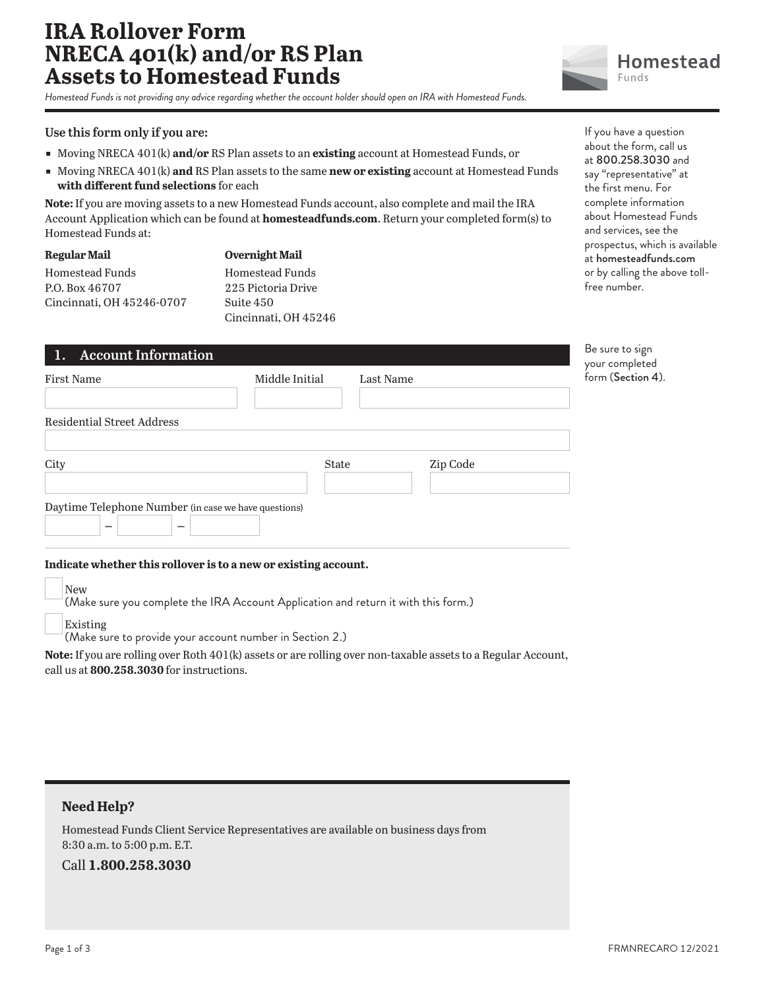# **IRA Rollover Form NRECA 401(k) and/or RS Plan Assets to Homestead Funds**

*Homestead Funds is not providing any advice regarding whether the account holder should open an IRA with Homestead Funds.*

#### **Use this form only if you are:**

- ɕ Moving NRECA 401(k) **and/or** RS Plan assets to an **existing** account at Homestead Funds, or
- ɕ Moving NRECA 401(k) **and** RS Plan assets to the same **new or existing** account at Homestead Funds **with different fund selections** for each

**Note:** If you are moving assets to a new Homestead Funds account, also complete and mail the IRA Account Application which can be found at **homesteadfunds.com**. Return your completed form(s) to Homestead Funds at:

| <b>Regular Mail</b>       | <b>Overnight Mail</b>  |
|---------------------------|------------------------|
| Homestead Funds           | <b>Homestead Funds</b> |
| P.O. Box 46707            | 225 Pictoria Drive     |
| Cincinnati, OH 45246-0707 | Suite 450              |
|                           | Cincinnati, OH 45246   |

| If you have a question         |
|--------------------------------|
| about the form, call us        |
| at 800.258.3030 and            |
| say "representative" at        |
| the first menu. For            |
| complete information           |
| about Homestead Funds          |
| and services, see the          |
| prospectus, which is available |
| at homesteadfunds.com          |
| or by calling the above toll-  |
| free number.                   |

**Homestead** 

**Funds** 

| 1. Account Information                                         |                |           |          | Be sure to sign                   |
|----------------------------------------------------------------|----------------|-----------|----------|-----------------------------------|
| First Name                                                     | Middle Initial | Last Name |          | your completed<br>form (Section 4 |
| <b>Residential Street Address</b>                              |                |           |          |                                   |
| City                                                           | State          |           | Zip Code |                                   |
| Daytime Telephone Number (in case we have questions)<br>-<br>– |                |           |          |                                   |

#### **Indicate whether this rollover is to a new or existing account.**

New

(Make sure you complete the IRA Account Application and return it with this form.)

Existing

(Make sure to provide your account number in Section 2.)

**Note:** If you are rolling over Roth 401(k) assets or are rolling over non-taxable assets to a Regular Account, call us at **800.258.3030** for instructions.

## **Need Help?**

Homestead Funds Client Service Representatives are available on business days from 8:30 a.m. to 5:00 p.m. E.T.

Call **1.800.258.3030**

form (Section 4).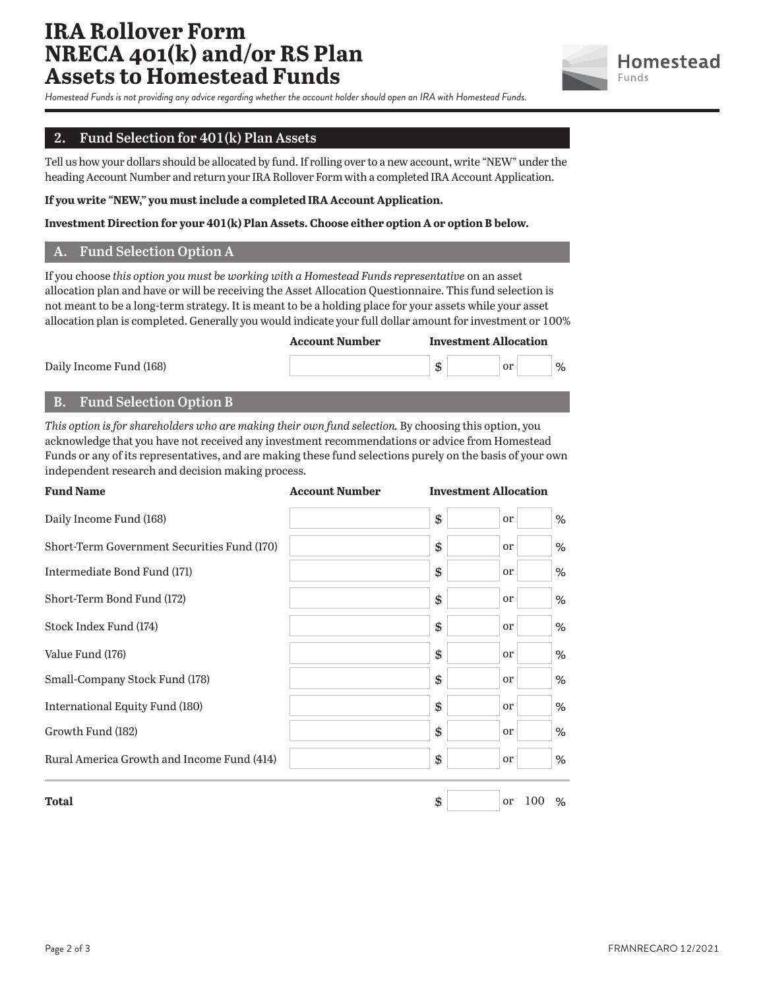# **IRA Rollover Form NRECA 401(k) and/or RS Plan Assets to Homestead Funds**



*Homestead Funds is not providing any advice regarding whether the account holder should open an IRA with Homestead Funds.*

# **2. Fund Selection for 401(k) Plan Assets**

Tell us how your dollars should be allocated by fund. If rolling over to a new account, write "NEW" under the heading Account Number and return your IRA Rollover Form with a completed IRA Account Application.

**If you write "NEW," you must include a completed IRA Account Application.**

#### **Investment Direction for your 401(k) Plan Assets. Choose either option A or option B below.**

### **A. Fund Selection Option A**

If you choose *this option you must be working with a Homestead Funds representative* on an asset allocation plan and have or will be receiving the Asset Allocation Questionnaire. This fund selection is not meant to be a long-term strategy. It is meant to be a holding place for your assets while your asset allocation plan is completed. Generally you would indicate your full dollar amount for investment or 100%

 **Account Number Investment Allocation** Daily Income Fund (168)  $\qquad \qquad$  0r  $\qquad \qquad$  1%

### **B. Fund Selection Option B**

*This option is for shareholders who are making their own fund selection.* By choosing this option, you acknowledge that you have not received any investment recommendations or advice from Homestead Funds or any of its representatives, and are making these fund selections purely on the basis of your own independent research and decision making process.

| <b>Fund Name</b>                            | <b>Account Number</b> | <b>Investment Allocation</b> |               |   |
|---------------------------------------------|-----------------------|------------------------------|---------------|---|
| Daily Income Fund (168)                     |                       | \$                           | <sub>or</sub> | % |
| Short-Term Government Securities Fund (170) |                       | \$                           | <sub>or</sub> | % |
| Intermediate Bond Fund (171)                |                       | \$                           | <sub>or</sub> | % |
| Short-Term Bond Fund (172)                  |                       | \$                           | <sub>or</sub> | % |
| Stock Index Fund (174)                      |                       | \$                           | <sub>or</sub> | % |
| Value Fund (176)                            |                       | \$                           | <sub>or</sub> | % |
| Small-Company Stock Fund (178)              |                       | \$                           | <sub>or</sub> | % |
| International Equity Fund (180)             |                       | \$                           | <sub>or</sub> | % |
| Growth Fund (182)                           |                       | \$                           | <sub>or</sub> | % |
| Rural America Growth and Income Fund (414)  |                       | \$                           | <sub>or</sub> | % |
| <b>Total</b>                                |                       | \$                           | 100<br>or     | % |